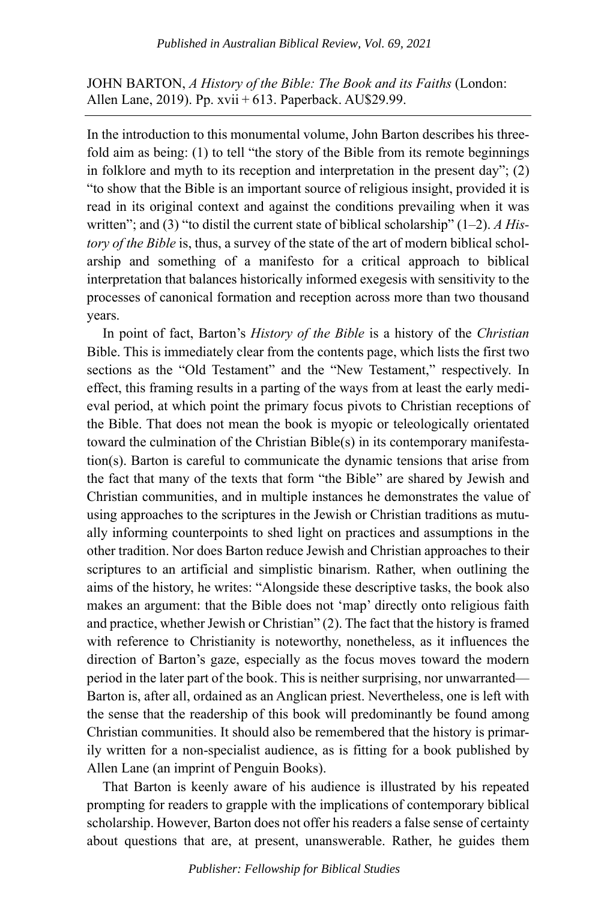JOHN BARTON, *A History of the Bible: The Book and its Faiths* (London: Allen Lane, 2019). Pp. xvii + 613. Paperback. AU\$29.99.

In the introduction to this monumental volume, John Barton describes his threefold aim as being: (1) to tell "the story of the Bible from its remote beginnings in folklore and myth to its reception and interpretation in the present day"; (2) "to show that the Bible is an important source of religious insight, provided it is read in its original context and against the conditions prevailing when it was written"; and (3) "to distil the current state of biblical scholarship" (1–2). *A History of the Bible* is, thus, a survey of the state of the art of modern biblical scholarship and something of a manifesto for a critical approach to biblical interpretation that balances historically informed exegesis with sensitivity to the processes of canonical formation and reception across more than two thousand years.

In point of fact, Barton's *History of the Bible* is a history of the *Christian* Bible. This is immediately clear from the contents page, which lists the first two sections as the "Old Testament" and the "New Testament," respectively. In effect, this framing results in a parting of the ways from at least the early medieval period, at which point the primary focus pivots to Christian receptions of the Bible. That does not mean the book is myopic or teleologically orientated toward the culmination of the Christian Bible(s) in its contemporary manifestation(s). Barton is careful to communicate the dynamic tensions that arise from the fact that many of the texts that form "the Bible" are shared by Jewish and Christian communities, and in multiple instances he demonstrates the value of using approaches to the scriptures in the Jewish or Christian traditions as mutually informing counterpoints to shed light on practices and assumptions in the other tradition. Nor does Barton reduce Jewish and Christian approaches to their scriptures to an artificial and simplistic binarism. Rather, when outlining the aims of the history, he writes: "Alongside these descriptive tasks, the book also makes an argument: that the Bible does not 'map' directly onto religious faith and practice, whether Jewish or Christian" (2). The fact that the history is framed with reference to Christianity is noteworthy, nonetheless, as it influences the direction of Barton's gaze, especially as the focus moves toward the modern period in the later part of the book. This is neither surprising, nor unwarranted— Barton is, after all, ordained as an Anglican priest. Nevertheless, one is left with the sense that the readership of this book will predominantly be found among Christian communities. It should also be remembered that the history is primarily written for a non-specialist audience, as is fitting for a book published by Allen Lane (an imprint of Penguin Books).

That Barton is keenly aware of his audience is illustrated by his repeated prompting for readers to grapple with the implications of contemporary biblical scholarship. However, Barton does not offer his readers a false sense of certainty about questions that are, at present, unanswerable. Rather, he guides them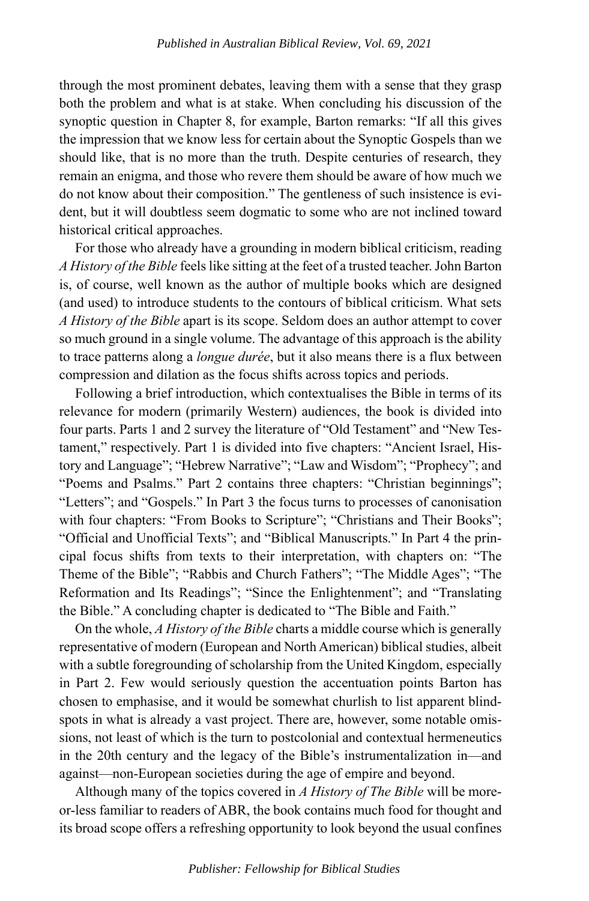through the most prominent debates, leaving them with a sense that they grasp both the problem and what is at stake. When concluding his discussion of the synoptic question in Chapter 8, for example, Barton remarks: "If all this gives the impression that we know less for certain about the Synoptic Gospels than we should like, that is no more than the truth. Despite centuries of research, they remain an enigma, and those who revere them should be aware of how much we do not know about their composition." The gentleness of such insistence is evident, but it will doubtless seem dogmatic to some who are not inclined toward historical critical approaches.

For those who already have a grounding in modern biblical criticism, reading *A History of the Bible* feels like sitting at the feet of a trusted teacher. John Barton is, of course, well known as the author of multiple books which are designed (and used) to introduce students to the contours of biblical criticism. What sets *A History of the Bible* apart is its scope. Seldom does an author attempt to cover so much ground in a single volume. The advantage of this approach is the ability to trace patterns along a *longue durée*, but it also means there is a flux between compression and dilation as the focus shifts across topics and periods.

Following a brief introduction, which contextualises the Bible in terms of its relevance for modern (primarily Western) audiences, the book is divided into four parts. Parts 1 and 2 survey the literature of "Old Testament" and "New Testament," respectively. Part 1 is divided into five chapters: "Ancient Israel, History and Language"; "Hebrew Narrative"; "Law and Wisdom"; "Prophecy"; and "Poems and Psalms." Part 2 contains three chapters: "Christian beginnings"; "Letters"; and "Gospels." In Part 3 the focus turns to processes of canonisation with four chapters: "From Books to Scripture"; "Christians and Their Books"; "Official and Unofficial Texts"; and "Biblical Manuscripts." In Part 4 the principal focus shifts from texts to their interpretation, with chapters on: "The Theme of the Bible"; "Rabbis and Church Fathers"; "The Middle Ages"; "The Reformation and Its Readings"; "Since the Enlightenment"; and "Translating the Bible." A concluding chapter is dedicated to "The Bible and Faith."

On the whole, *A History of the Bible* charts a middle course which is generally representative of modern (European and North American) biblical studies, albeit with a subtle foregrounding of scholarship from the United Kingdom, especially in Part 2. Few would seriously question the accentuation points Barton has chosen to emphasise, and it would be somewhat churlish to list apparent blindspots in what is already a vast project. There are, however, some notable omissions, not least of which is the turn to postcolonial and contextual hermeneutics in the 20th century and the legacy of the Bible's instrumentalization in—and against—non-European societies during the age of empire and beyond.

Although many of the topics covered in *A History of The Bible* will be moreor-less familiar to readers of ABR, the book contains much food for thought and its broad scope offers a refreshing opportunity to look beyond the usual confines